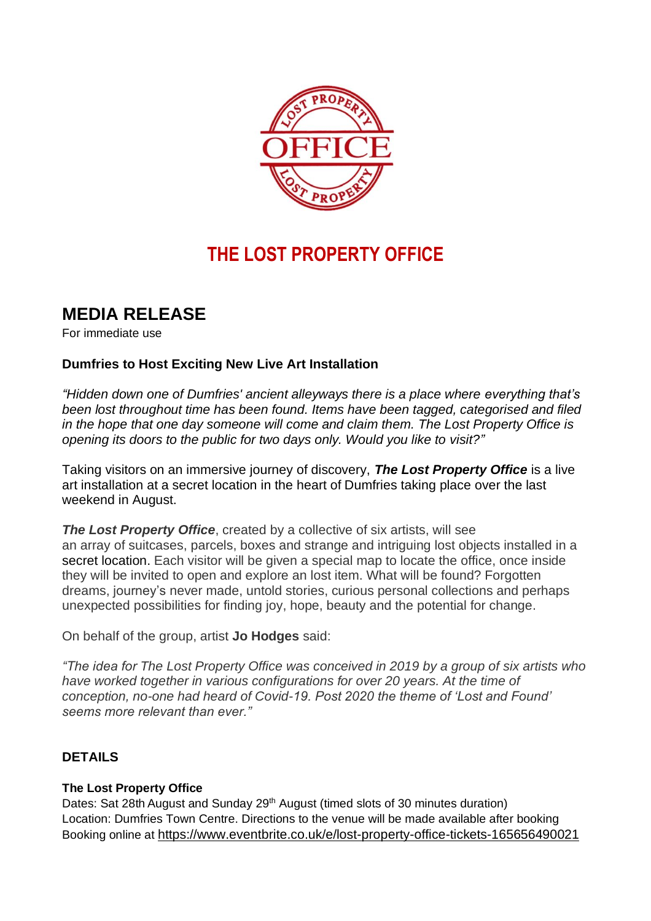

# **THE LOST PROPERTY OFFICE**

## **MEDIA RELEASE**

For immediate use

### **Dumfries to Host Exciting New Live Art Installation**

*"Hidden down one of Dumfries' ancient alleyways there is a place where everything that's been lost throughout time has been found. Items have been tagged, categorised and filed in the hope that one day someone will come and claim them. The Lost Property Office is opening its doors to the public for two days only. Would you like to visit?"*

Taking visitors on an immersive journey of discovery, *The Lost Property Office* is a live art installation at a secret location in the heart of Dumfries taking place over the last weekend in August.

*The Lost Property Office*, created by a collective of six artists, will see an array of suitcases, parcels, boxes and strange and intriguing lost objects installed in a secret location. Each visitor will be given a special map to locate the office, once inside they will be invited to open and explore an lost item. What will be found? Forgotten dreams, journey's never made, untold stories, curious personal collections and perhaps unexpected possibilities for finding joy, hope, beauty and the potential for change.

On behalf of the group, artist **Jo Hodges** said:

*"The idea for The Lost Property Office was conceived in 2019 by a group of six artists who have worked together in various configurations for over 20 years. At the time of conception, no-one had heard of Covid-19. Post 2020 the theme of 'Lost and Found' seems more relevant than ever."*

#### **DETAILS**

#### **The Lost Property Office**

Dates: Sat 28th August and Sunday 29<sup>th</sup> August (timed slots of 30 minutes duration) Location: Dumfries Town Centre. Directions to the venue will be made available after booking Booking online at <https://www.eventbrite.co.uk/e/lost-property-office-tickets-165656490021>